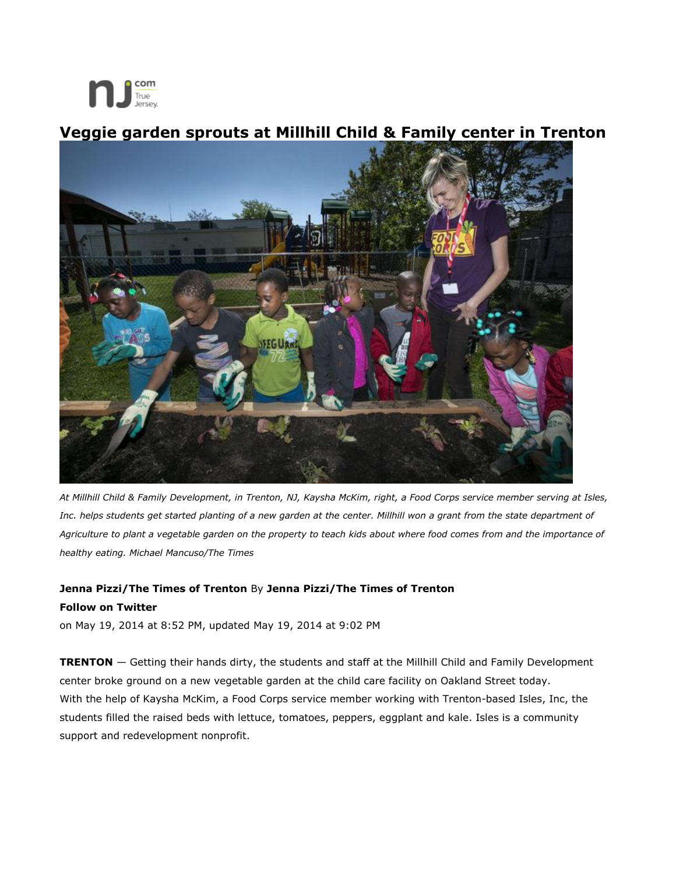

## **Veggie garden sprouts at Millhill Child & Family center in Trenton**



*At Millhill Child & Family Development, in Trenton, NJ, Kaysha McKim, right, a Food Corps service member serving at Isles, Inc. helps students get started planting of a new garden at the center. Millhill won a grant from the state department of Agriculture to plant a vegetable garden on the property to teach kids about where food comes from and the importance of healthy eating. Michael Mancuso/The Times*

## **Jenna Pizzi/The Times of Trenton** By **Jenna Pizzi/The Times of Trenton Follow on Twitter**

on May 19, 2014 at 8:52 PM, updated May 19, 2014 at 9:02 PM

**TRENTON** — Getting their hands dirty, the students and staff at the Millhill Child and Family Development center broke ground on a new vegetable garden at the child care facility on Oakland Street today. With the help of Kaysha McKim, a Food Corps service member working with Trenton-based Isles, Inc, the students filled the raised beds with lettuce, tomatoes, peppers, eggplant and kale. Isles is a community support and redevelopment nonprofit.